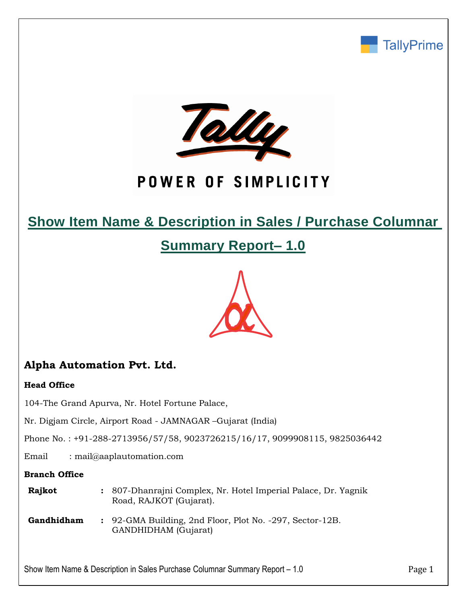



# POWER OF SIMPLICITY

# **Show Item Name & Description in Sales / Purchase Columnar**

**Summary Report– 1.0**



# **Alpha Automation Pvt. Ltd.**

#### **Head Office**

104-The Grand Apurva, Nr. Hotel Fortune Palace,

Nr. Digjam Circle, Airport Road - JAMNAGAR –Gujarat (India)

Phone No. : +91-288-2713956/57/58, 9023726215/16/17, 9099908115, 9825036442

Email : mail@aaplautomation.com

#### **Branch Office**

| Rajkot | : 807-Dhanrajni Complex, Nr. Hotel Imperial Palace, Dr. Yagnik |  |  |
|--------|----------------------------------------------------------------|--|--|
|        | Road, RAJKOT (Gujarat).                                        |  |  |

**Gandhidham :** 92-GMA Building, 2nd Floor, Plot No. -297, Sector-12B. GANDHIDHAM (Gujarat)

Show Item Name & Description in Sales Purchase Columnar Summary Report – 1.0 Page 1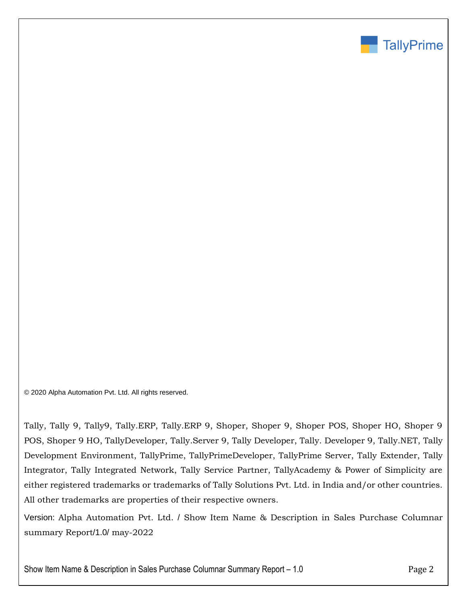

© 2020 Alpha Automation Pvt. Ltd. All rights reserved.

Tally, Tally 9, Tally9, Tally.ERP, Tally.ERP 9, Shoper, Shoper 9, Shoper POS, Shoper HO, Shoper 9 POS, Shoper 9 HO, TallyDeveloper, Tally.Server 9, Tally Developer, Tally. Developer 9, Tally.NET, Tally Development Environment, TallyPrime, TallyPrimeDeveloper, TallyPrime Server, Tally Extender, Tally Integrator, Tally Integrated Network, Tally Service Partner, TallyAcademy & Power of Simplicity are either registered trademarks or trademarks of Tally Solutions Pvt. Ltd. in India and/or other countries. All other trademarks are properties of their respective owners.

Version: Alpha Automation Pvt. Ltd. / Show Item Name & Description in Sales Purchase Columnar summary Report/1.0/ may-2022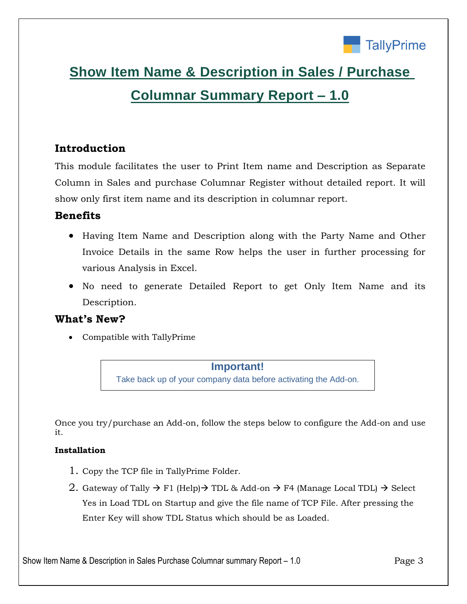

# **Show Item Name & Description in Sales / Purchase Columnar Summary Report – 1.0**

# **Introduction**

This module facilitates the user to Print Item name and Description as Separate Column in Sales and purchase Columnar Register without detailed report. It will show only first item name and its description in columnar report.

### **Benefits**

- Having Item Name and Description along with the Party Name and Other Invoice Details in the same Row helps the user in further processing for various Analysis in Excel.
- No need to generate Detailed Report to get Only Item Name and its Description.

## **What's New?**

Compatible with TallyPrime

#### **Important!**

Take back up of your company data before activating the Add-on.

Once you try/purchase an Add-on, follow the steps below to configure the Add-on and use it.

#### **Installation**

- 1. Copy the TCP file in TallyPrime Folder.
- 2. Gateway of Tally  $\rightarrow$  F1 (Help) $\rightarrow$  TDL & Add-on  $\rightarrow$  F4 (Manage Local TDL)  $\rightarrow$  Select Yes in Load TDL on Startup and give the file name of TCP File. After pressing the Enter Key will show TDL Status which should be as Loaded.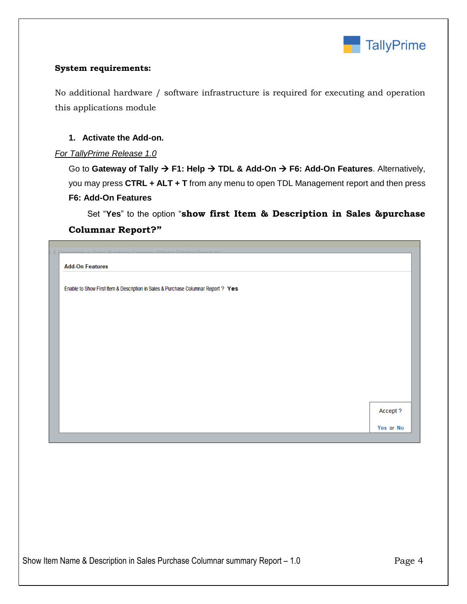

#### **System requirements:**

No additional hardware / software infrastructure is required for executing and operation this applications module

#### **1. Activate the Add-on.**

#### *For TallyPrime Release 1.0*

Go to Gateway of Tally  $\rightarrow$  F1: Help  $\rightarrow$  TDL & Add-On  $\rightarrow$  F6: Add-On Features. Alternatively, you may press **CTRL + ALT + T** from any menu to open TDL Management report and then press **F6: Add-On Features**

 Set "**Yes**" to the option "**show first Item & Description in Sales &purchase Columnar Report?"**

|                        | too Columnar Without Detailed Depart tut                                          |           |
|------------------------|-----------------------------------------------------------------------------------|-----------|
|                        |                                                                                   |           |
| <b>Add-On Features</b> |                                                                                   |           |
|                        |                                                                                   |           |
|                        | Enable to Show First Item & Description in Sales & Purchase Columnar Report ? Yes |           |
|                        |                                                                                   |           |
|                        |                                                                                   |           |
|                        |                                                                                   |           |
|                        |                                                                                   |           |
|                        |                                                                                   |           |
|                        |                                                                                   |           |
|                        |                                                                                   |           |
|                        |                                                                                   |           |
|                        |                                                                                   |           |
|                        |                                                                                   |           |
|                        |                                                                                   |           |
|                        |                                                                                   |           |
|                        |                                                                                   |           |
|                        |                                                                                   |           |
|                        |                                                                                   |           |
|                        |                                                                                   | Accept ?  |
|                        |                                                                                   |           |
|                        |                                                                                   | Yes or No |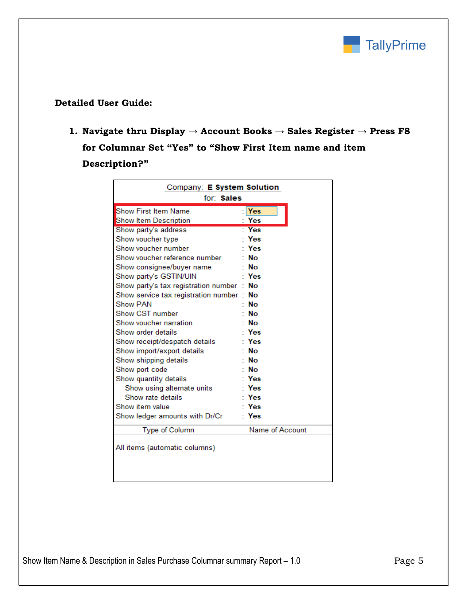

#### **Detailed User Guide:**

**1. Navigate thru Display → Account Books → Sales Register → Press F8 for Columnar Set "Yes" to "Show First Item name and item Description?"**

| Company: E System Solution<br>for: Sales |                 |  |  |
|------------------------------------------|-----------------|--|--|
| <b>Show First Item Name</b>              | Yes             |  |  |
| Show Item Description                    | Yes             |  |  |
| Show party's address                     | <b>Yes</b>      |  |  |
| Show voucher type                        | Yes             |  |  |
| Show voucher number                      | Yes             |  |  |
| Show voucher reference number            | No              |  |  |
| Show consignee/buyer name                | ∙ No            |  |  |
| Show party's GSTIN/UIN                   | Yes             |  |  |
| Show party's tax registration number :   | No              |  |  |
| Show service tax registration number:    | Nο              |  |  |
| Show PAN                                 | No              |  |  |
| Show CST number                          | No              |  |  |
| Show voucher narration                   | ∵ No            |  |  |
| Show order details                       | Yes             |  |  |
| Show receipt/despatch details            | ∵ Yes           |  |  |
| Show import/export details               | ∙ No            |  |  |
| Show shipping details                    | No              |  |  |
| Show port code                           | ∵ No            |  |  |
| Show quantity details                    | · Yes           |  |  |
| Show using alternate units               | Yes             |  |  |
| Show rate details                        | ∵ Yes           |  |  |
| Show item value                          | ∙ Yes           |  |  |
| Show ledger amounts with Dr/Cr           | Yes             |  |  |
| <b>Type of Column</b>                    | Name of Account |  |  |
| All items (automatic columns)            |                 |  |  |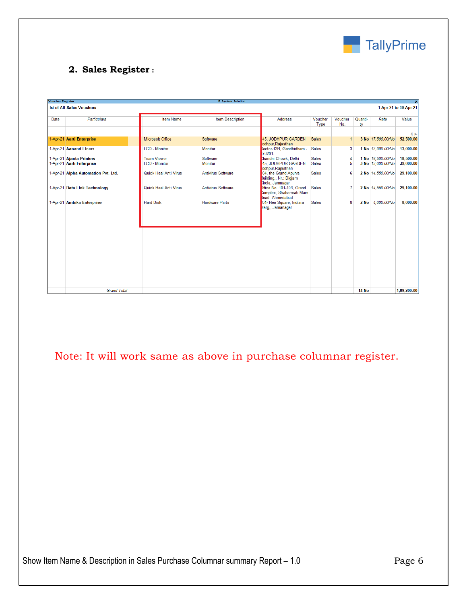

### **2. Sales Register :**

| <b>Voucher Register</b> |                                                       |                                            | <b>E</b> System Solution |                                                                           |                              |                |               |                                        |                        |
|-------------------------|-------------------------------------------------------|--------------------------------------------|--------------------------|---------------------------------------------------------------------------|------------------------------|----------------|---------------|----------------------------------------|------------------------|
|                         | ist of All Sales Vouchers                             |                                            |                          |                                                                           |                              |                |               |                                        | 1-Apr-21 to 30-Apr-21  |
| Date                    | Particulars                                           | <b>Item Name</b>                           | <b>Item Description</b>  | <b>Address</b>                                                            | Voucher<br>Type              | Voucher<br>No. | Quanti-<br>ty | Rate                                   | Value                  |
|                         |                                                       |                                            |                          |                                                                           |                              |                |               |                                        | 4 <sub>b</sub>         |
|                         | 1-Apr-21 Aarti Enterprise                             | <b>Microsoft Office</b>                    | Software                 | 45. JODHPUR GARDEN<br>odhpur, Rajasthan                                   | <b>Sales</b>                 | -1             |               | 3 No 17,500,00/No                      | 52,500.00              |
|                         | 1-Apr-21 Aanand Liners                                | <b>LCD - Monitor</b>                       | <b>Monitor</b>           | Sector-12B, Gandhidham -<br>70201.                                        | <b>Sales</b>                 | 3              |               | 1 No 13,000.00/No                      | 13,000.00              |
|                         | 1-Apr-21 Ajanta Printers<br>1-Apr-21 Aarti Enterprise | <b>Team Viewer</b><br><b>LCD - Monitor</b> | Software<br>Monitor      | Chandni Chowk, Delhi<br>45. JODHPUR GARDEN<br>odhpur, Rajasthan           | <b>Sales</b><br><b>Sales</b> | 4<br>5         |               | 1 No 18,500,00/No<br>3 No 13,000,00/No | 18,500.00<br>39,000.00 |
|                         | 1-Apr-21 Alpha Automation Pvt. Ltd.                   | Quick Heal Anti Virus                      | Antivirus Software       | 04, the Grand Apurva<br>Building., Nr.: Digiam<br><b>Circle, Jamnagar</b> | <b>Sales</b>                 | 6              |               | 2 No 14,550,00/No                      | 29,100.00              |
|                         | 1-Apr-21 Data Link Technology                         | Quick Heal Anti Virus                      | Antivirus Software       | Dffice No. 101-103, Grand<br>Complex, Shabarmati Main                     | <b>Sales</b>                 | $\overline{7}$ |               | 2 No 14,550,00/No                      | 29,100.00              |
|                         | 1-Apr-21 Ambika Enterprise                            | <b>Hard Disk</b>                           | <b>Hardware Parts</b>    | Road, Ahmedabad<br>104- Neo Square, Indiara<br>Marg., Jamanagar           | <b>Sales</b>                 | 8              |               | 2 No 4,000.00/No                       | 8,000.00               |
|                         |                                                       |                                            |                          |                                                                           |                              |                |               |                                        |                        |
|                         |                                                       |                                            |                          |                                                                           |                              |                |               |                                        |                        |
|                         |                                                       |                                            |                          |                                                                           |                              |                |               |                                        |                        |
|                         |                                                       |                                            |                          |                                                                           |                              |                |               |                                        |                        |
|                         | <b>Grand Total</b>                                    |                                            |                          |                                                                           |                              |                | <b>14 No</b>  |                                        | 1,89,200.00            |
|                         |                                                       |                                            |                          |                                                                           |                              |                |               |                                        |                        |

Note: It will work same as above in purchase columnar register.

Show Item Name & Description in Sales Purchase Columnar summary Report - 1.0 Page 6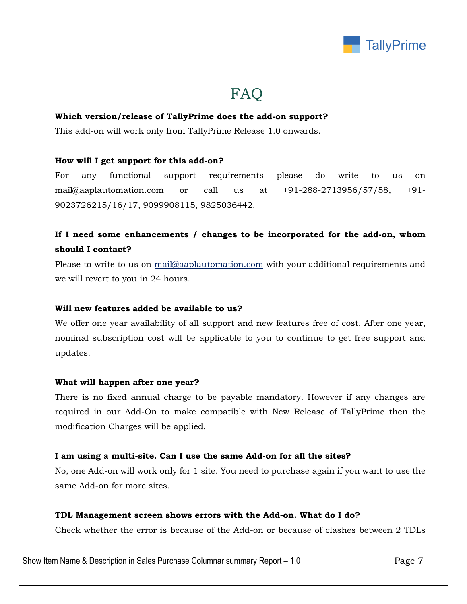

# FAQ

#### **Which version/release of TallyPrime does the add-on support?**

This add-on will work only from TallyPrime Release 1.0 onwards.

#### **How will I get support for this add-on?**

For any functional support requirements please do write to us on mail@aaplautomation.com or call us at +91-288-2713956/57/58, +91- 9023726215/16/17, 9099908115, 9825036442.

## **If I need some enhancements / changes to be incorporated for the add-on, whom should I contact?**

Please to write to us on mail@aaplautomation.com with your additional requirements and we will revert to you in 24 hours.

#### **Will new features added be available to us?**

We offer one year availability of all support and new features free of cost. After one year, nominal subscription cost will be applicable to you to continue to get free support and updates.

#### **What will happen after one year?**

There is no fixed annual charge to be payable mandatory. However if any changes are required in our Add-On to make compatible with New Release of TallyPrime then the modification Charges will be applied.

#### **I am using a multi-site. Can I use the same Add-on for all the sites?**

No, one Add-on will work only for 1 site. You need to purchase again if you want to use the same Add-on for more sites.

#### **TDL Management screen shows errors with the Add-on. What do I do?**

Check whether the error is because of the Add-on or because of clashes between 2 TDLs